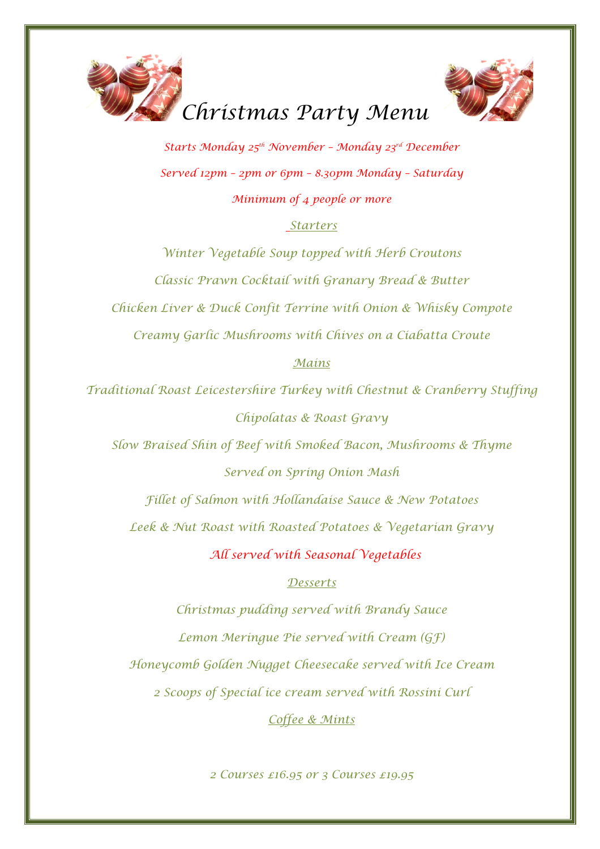



*Starts Monday 25th November – Monday 23rd December Served 12pm – 2pm or 6pm – 8.30pm Monday – Saturday Minimum of 4 people or more* 

## *Starters*

*Winter Vegetable Soup topped with Herb Croutons Classic Prawn Cocktail with Granary Bread & Butter Chicken Liver & Duck Confit Terrine with Onion & Whisky Compote Creamy Garlic Mushrooms with Chives on a Ciabatta Croute* 

## *Mains*

*Traditional Roast Leicestershire Turkey with Chestnut & Cranberry Stuffing Chipolatas & Roast Gravy* 

*Slow Braised Shin of Beef with Smoked Bacon, Mushrooms & Thyme Served on Spring Onion Mash* 

*Fillet of Salmon with Hollandaise Sauce & New Potatoes Leek & Nut Roast with Roasted Potatoes & Vegetarian Gravy* 

 *All served with Seasonal Vegetables* 

## *Desserts*

*Christmas pudding served with Brandy Sauce Lemon Meringue Pie served with Cream (GF) Honeycomb Golden Nugget Cheesecake served with Ice Cream 2 Scoops of Special ice cream served with Rossini Curl* 

*Coffee & Mints* 

*2 Courses £16.95 or 3 Courses £19.95*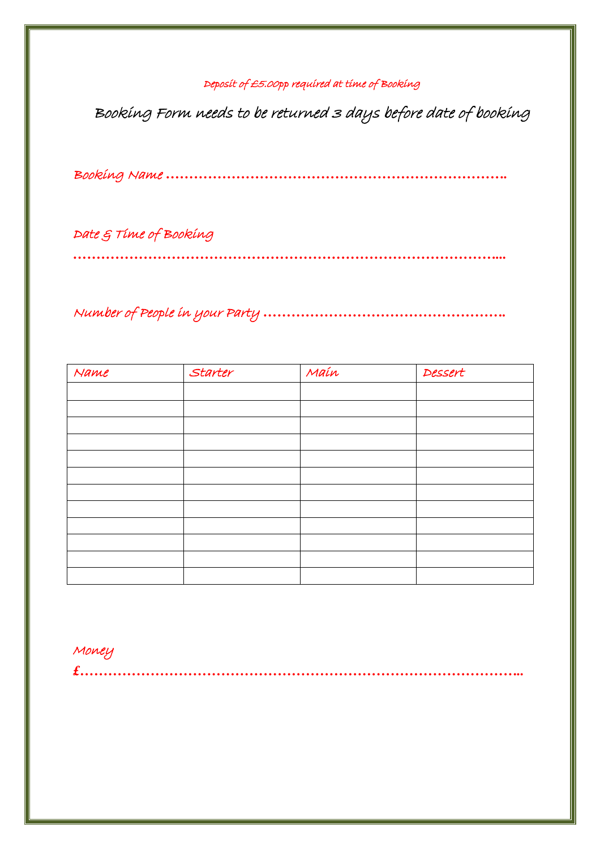## Deposit of £5.00pp required at time of Booking

Booking Form needs to be returned 3 days before date of booking

Booking Name *……………………………………………………………….*

Date & Time of Booking

*………………………………………………………………………………...*

Number of People in your Party *…………………………………………….*

| Name | Starter | Maín | Dessert |
|------|---------|------|---------|
|      |         |      |         |
|      |         |      |         |
|      |         |      |         |
|      |         |      |         |
|      |         |      |         |
|      |         |      |         |
|      |         |      |         |
|      |         |      |         |
|      |         |      |         |
|      |         |      |         |
|      |         |      |         |
|      |         |      |         |

*£…………………………………………………………………………………..*

Money